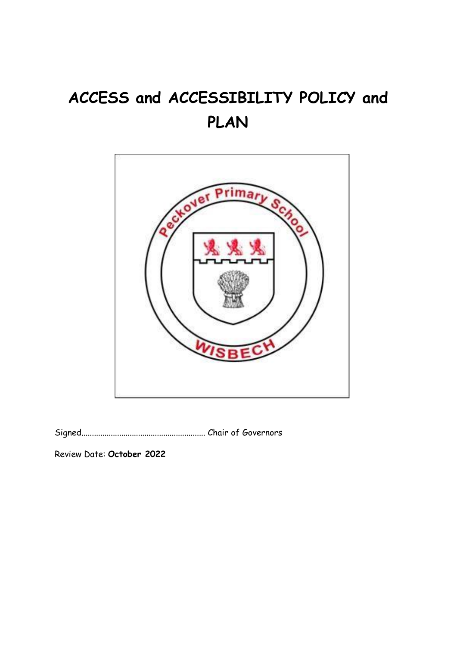# **ACCESS and ACCESSIBILITY POLICY and PLAN**



Signed........................................................... Chair of Governors

Review Date: **October 2022**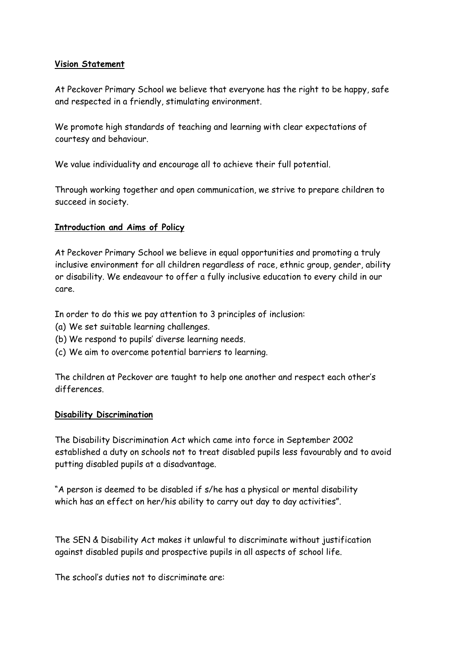#### **Vision Statement**

At Peckover Primary School we believe that everyone has the right to be happy, safe and respected in a friendly, stimulating environment.

We promote high standards of teaching and learning with clear expectations of courtesy and behaviour.

We value individuality and encourage all to achieve their full potential.

Through working together and open communication, we strive to prepare children to succeed in society.

## **Introduction and Aims of Policy**

At Peckover Primary School we believe in equal opportunities and promoting a truly inclusive environment for all children regardless of race, ethnic group, gender, ability or disability. We endeavour to offer a fully inclusive education to every child in our care.

In order to do this we pay attention to 3 principles of inclusion:

- (a) We set suitable learning challenges.
- (b) We respond to pupils' diverse learning needs.
- (c) We aim to overcome potential barriers to learning.

The children at Peckover are taught to help one another and respect each other's differences.

#### **Disability Discrimination**

The Disability Discrimination Act which came into force in September 2002 established a duty on schools not to treat disabled pupils less favourably and to avoid putting disabled pupils at a disadvantage.

"A person is deemed to be disabled if s/he has a physical or mental disability which has an effect on her/his ability to carry out day to day activities".

The SEN & Disability Act makes it unlawful to discriminate without justification against disabled pupils and prospective pupils in all aspects of school life.

The school's duties not to discriminate are: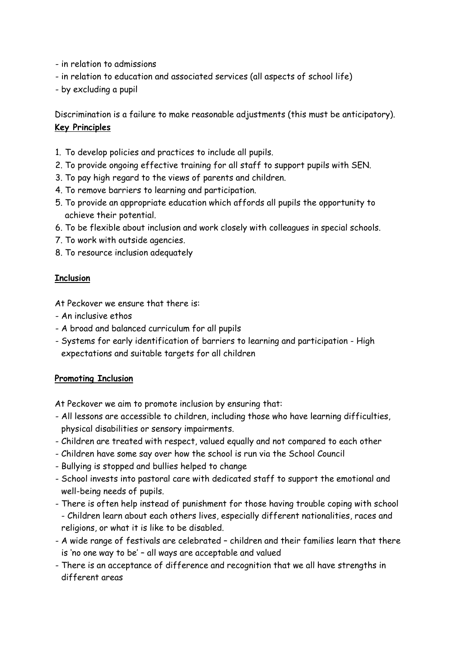- in relation to admissions
- in relation to education and associated services (all aspects of school life)
- by excluding a pupil

Discrimination is a failure to make reasonable adjustments (this must be anticipatory). **Key Principles** 

- 1. To develop policies and practices to include all pupils.
- 2. To provide ongoing effective training for all staff to support pupils with SEN.
- 3. To pay high regard to the views of parents and children.
- 4. To remove barriers to learning and participation.
- 5. To provide an appropriate education which affords all pupils the opportunity to achieve their potential.
- 6. To be flexible about inclusion and work closely with colleagues in special schools.
- 7. To work with outside agencies.
- 8. To resource inclusion adequately

## **Inclusion**

At Peckover we ensure that there is:

- An inclusive ethos
- A broad and balanced curriculum for all pupils
- Systems for early identification of barriers to learning and participation High expectations and suitable targets for all children

#### **Promoting Inclusion**

At Peckover we aim to promote inclusion by ensuring that:

- All lessons are accessible to children, including those who have learning difficulties, physical disabilities or sensory impairments.
- Children are treated with respect, valued equally and not compared to each other
- Children have some say over how the school is run via the School Council
- Bullying is stopped and bullies helped to change
- School invests into pastoral care with dedicated staff to support the emotional and well-being needs of pupils.
- There is often help instead of punishment for those having trouble coping with school - Children learn about each others lives, especially different nationalities, races and religions, or what it is like to be disabled.
- A wide range of festivals are celebrated children and their families learn that there is 'no one way to be' – all ways are acceptable and valued
- There is an acceptance of difference and recognition that we all have strengths in different areas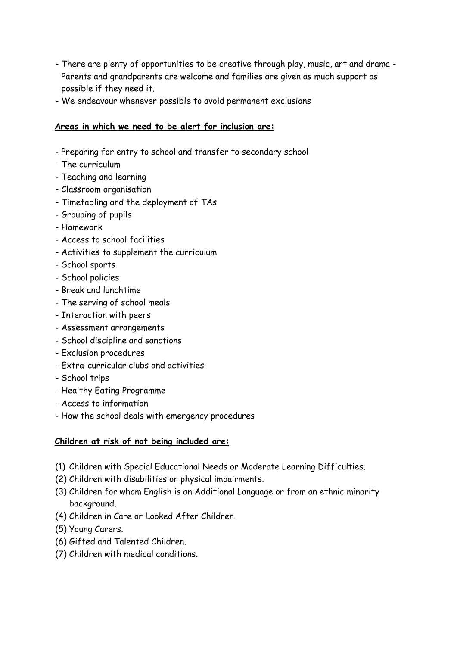- There are plenty of opportunities to be creative through play, music, art and drama Parents and grandparents are welcome and families are given as much support as possible if they need it.
- We endeavour whenever possible to avoid permanent exclusions

# **Areas in which we need to be alert for inclusion are:**

- Preparing for entry to school and transfer to secondary school
- The curriculum
- Teaching and learning
- Classroom organisation
- Timetabling and the deployment of TAs
- Grouping of pupils
- Homework
- Access to school facilities
- Activities to supplement the curriculum
- School sports
- School policies
- Break and lunchtime
- The serving of school meals
- Interaction with peers
- Assessment arrangements
- School discipline and sanctions
- Exclusion procedures
- Extra-curricular clubs and activities
- School trips
- Healthy Eating Programme
- Access to information
- How the school deals with emergency procedures

#### **Children at risk of not being included are:**

- (1) Children with Special Educational Needs or Moderate Learning Difficulties.
- (2) Children with disabilities or physical impairments.
- (3) Children for whom English is an Additional Language or from an ethnic minority background.
- (4) Children in Care or Looked After Children.
- (5) Young Carers.
- (6) Gifted and Talented Children.
- (7) Children with medical conditions.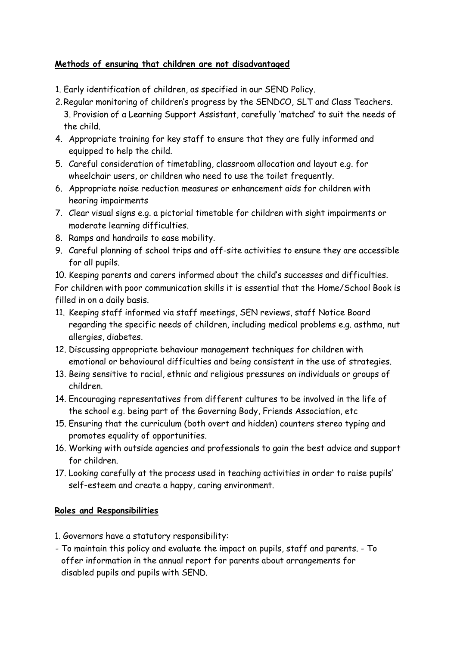# **Methods of ensuring that children are not disadvantaged**

- 1. Early identification of children, as specified in our SEND Policy.
- 2.Regular monitoring of children's progress by the SENDCO, SLT and Class Teachers. 3. Provision of a Learning Support Assistant, carefully 'matched' to suit the needs of the child.
- 4. Appropriate training for key staff to ensure that they are fully informed and equipped to help the child.
- 5. Careful consideration of timetabling, classroom allocation and layout e.g. for wheelchair users, or children who need to use the toilet frequently.
- 6. Appropriate noise reduction measures or enhancement aids for children with hearing impairments
- 7. Clear visual signs e.g. a pictorial timetable for children with sight impairments or moderate learning difficulties.
- 8. Ramps and handrails to ease mobility.
- 9. Careful planning of school trips and off-site activities to ensure they are accessible for all pupils.

10. Keeping parents and carers informed about the child's successes and difficulties. For children with poor communication skills it is essential that the Home/School Book is filled in on a daily basis.

- 11. Keeping staff informed via staff meetings, SEN reviews, staff Notice Board regarding the specific needs of children, including medical problems e.g. asthma, nut allergies, diabetes.
- 12. Discussing appropriate behaviour management techniques for children with emotional or behavioural difficulties and being consistent in the use of strategies.
- 13. Being sensitive to racial, ethnic and religious pressures on individuals or groups of children.
- 14. Encouraging representatives from different cultures to be involved in the life of the school e.g. being part of the Governing Body, Friends Association, etc
- 15. Ensuring that the curriculum (both overt and hidden) counters stereo typing and promotes equality of opportunities.
- 16. Working with outside agencies and professionals to gain the best advice and support for children.
- 17. Looking carefully at the process used in teaching activities in order to raise pupils' self-esteem and create a happy, caring environment.

# **Roles and Responsibilities**

- 1. Governors have a statutory responsibility:
- To maintain this policy and evaluate the impact on pupils, staff and parents. To offer information in the annual report for parents about arrangements for disabled pupils and pupils with SEND.